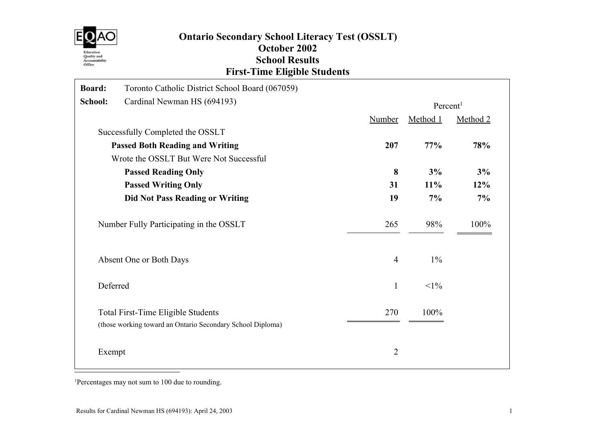

# Ontario Secondary School Literacy Test (OSSLT) October 2002 School Results First-Time Eligible Students

| Board:  | Toronto Catholic District School Board (067059)                                                  |                |                      |          |
|---------|--------------------------------------------------------------------------------------------------|----------------|----------------------|----------|
| School: | Cardinal Newman HS (694193)                                                                      |                | Percent <sup>1</sup> |          |
|         |                                                                                                  | <b>Number</b>  | Method 1             | Method 2 |
|         | Successfully Completed the OSSLT                                                                 |                |                      |          |
|         | <b>Passed Both Reading and Writing</b>                                                           | 207            | 77%                  | 78%      |
|         | Wrote the OSSLT But Were Not Successful                                                          |                |                      |          |
|         | <b>Passed Reading Only</b>                                                                       | 8              | 3%                   | 3%       |
|         | <b>Passed Writing Only</b>                                                                       | 31             | 11%                  | 12%      |
|         | <b>Did Not Pass Reading or Writing</b>                                                           | 19             | 7%                   | 7%       |
|         | Number Fully Participating in the OSSLT                                                          | 265            | 98%                  | 100%     |
|         | Absent One or Both Days                                                                          | $\overline{4}$ | $1\%$                |          |
|         | Deferred                                                                                         | $\mathbf{1}$   | $<1\%$               |          |
|         | Total First-Time Eligible Students<br>(those working toward an Ontario Secondary School Diploma) | 270            | 100%                 |          |
|         | Exempt                                                                                           | $\overline{2}$ |                      |          |

<sup>1</sup>Percentages may not sum to 100 due to rounding.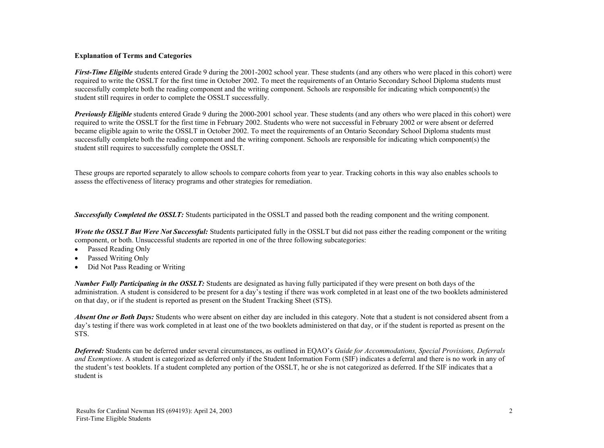#### Explanation of Terms and Categories

First-Time Eligible students entered Grade 9 during the 2001-2002 school year. These students (and any others who were placed in this cohort) were required to write the OSSLT for the first time in October 2002. To meet the requirements of an Ontario Secondary School Diploma students must successfully complete both the reading component and the writing component. Schools are responsible for indicating which component(s) the student still requires in order to complete the OSSLT successfully.

**Previously Eligible** students entered Grade 9 during the 2000-2001 school year. These students (and any others who were placed in this cohort) were required to write the OSSLT for the first time in February 2002. Students who were not successful in February 2002 or were absent or deferred became eligible again to write the OSSLT in October 2002. To meet the requirements of an Ontario Secondary School Diploma students must successfully complete both the reading component and the writing component. Schools are responsible for indicating which component(s) the student still requires to successfully complete the OSSLT.

These groups are reported separately to allow schools to compare cohorts from year to year. Tracking cohorts in this way also enables schools to assess the effectiveness of literacy programs and other strategies for remediation.

**Successfully Completed the OSSLT:** Students participated in the OSSLT and passed both the reading component and the writing component.

Wrote the OSSLT But Were Not Successful: Students participated fully in the OSSLT but did not pass either the reading component or the writing component, or both. Unsuccessful students are reported in one of the three following subcategories:

- Passed Reading Only
- Passed Writing Only
- · Did Not Pass Reading or Writing

Number Fully Participating in the OSSLT: Students are designated as having fully participated if they were present on both days of the administration. A student is considered to be present for a day's testing if there was work completed in at least one of the two booklets administered on that day, or if the student is reported as present on the Student Tracking Sheet (STS).

**Absent One or Both Days:** Students who were absent on either day are included in this category. Note that a student is not considered absent from a day's testing if there was work completed in at least one of the two booklets administered on that day, or if the student is reported as present on the STS.

Deferred: Students can be deferred under several circumstances, as outlined in EQAO's Guide for Accommodations, Special Provisions, Deferrals and Exemptions. A student is categorized as deferred only if the Student Information Form (SIF) indicates a deferral and there is no work in any of the student's test booklets. If a student completed any portion of the OSSLT, he or she is not categorized as deferred. If the SIF indicates that a student is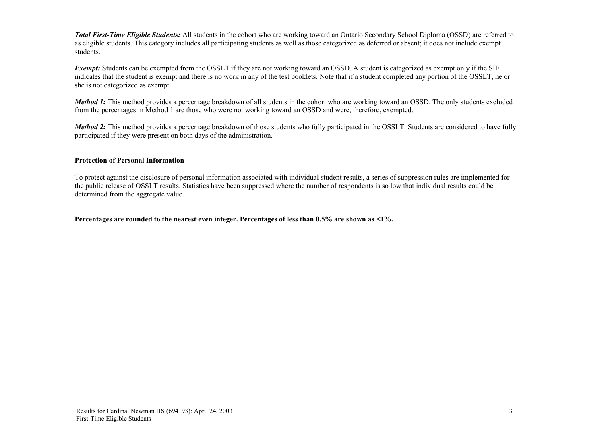Total First-Time Eligible Students: All students in the cohort who are working toward an Ontario Secondary School Diploma (OSSD) are referred to as eligible students. This category includes all participating students as well as those categorized as deferred or absent; it does not include exempt students.

**Exempt:** Students can be exempted from the OSSLT if they are not working toward an OSSD. A student is categorized as exempt only if the SIF indicates that the student is exempt and there is no work in any of the test booklets. Note that if a student completed any portion of the OSSLT, he or she is not categorized as exempt.

**Method 1:** This method provides a percentage breakdown of all students in the cohort who are working toward an OSSD. The only students excluded from the percentages in Method 1 are those who were not working toward an OSSD and were, therefore, exempted.

Method 2: This method provides a percentage breakdown of those students who fully participated in the OSSLT. Students are considered to have fully participated if they were present on both days of the administration.

#### Protection of Personal Information

To protect against the disclosure of personal information associated with individual student results, a series of suppression rules are implemented for the public release of OSSLT results. Statistics have been suppressed where the number of respondents is so low that individual results could be determined from the aggregate value.

Percentages are rounded to the nearest even integer. Percentages of less than 0.5% are shown as <1%.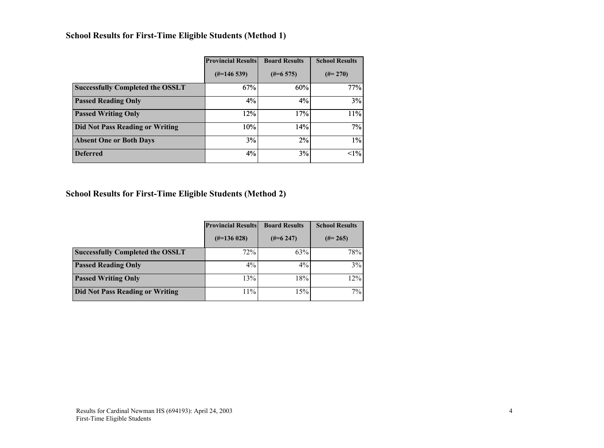## School Results for First-Time Eligible Students (Method 1)

|                                         | <b>Provincial Results</b> | <b>Board Results</b> | <b>School Results</b> |
|-----------------------------------------|---------------------------|----------------------|-----------------------|
|                                         | $(\text{\#} = 146539)$    | $(\#=6\;575)$        | $(\#=270)$            |
| <b>Successfully Completed the OSSLT</b> | 67%                       | 60%                  | 77%                   |
| <b>Passed Reading Only</b>              | 4%                        | 4%                   | 3%                    |
| <b>Passed Writing Only</b>              | 12%                       | 17%                  | 11%                   |
| <b>Did Not Pass Reading or Writing</b>  | 10%                       | 14%                  | 7%                    |
| <b>Absent One or Both Days</b>          | 3%                        | 2%                   | 1%                    |
| <b>Deferred</b>                         | 4%                        | 3%                   | $1\%$                 |

### School Results for First-Time Eligible Students (Method 2)

|                                         | <b>Provincial Results</b> | <b>Board Results</b> | <b>School Results</b> |
|-----------------------------------------|---------------------------|----------------------|-----------------------|
|                                         | $(\text{\#} = 136028)$    | $(\#=6\;247)$        | $(\#=265)$            |
| <b>Successfully Completed the OSSLT</b> | 72%                       | 63%                  | 78%                   |
| <b>Passed Reading Only</b>              | $4\%$                     | $4\%$                | 3%                    |
| <b>Passed Writing Only</b>              | 13%                       | 18%                  | 12%                   |
| <b>Did Not Pass Reading or Writing</b>  | 11%                       | 15%                  | 7%                    |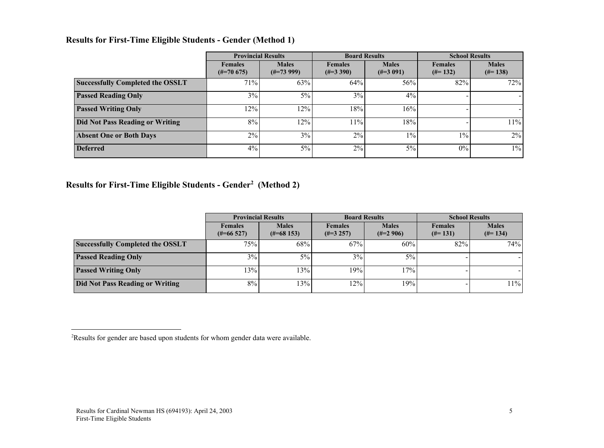## Results for First-Time Eligible Students - Gender (Method 1)

|                                         | <b>Provincial Results</b>        |                              | <b>Board Results</b>                |                               | <b>School Results</b>        |                            |
|-----------------------------------------|----------------------------------|------------------------------|-------------------------------------|-------------------------------|------------------------------|----------------------------|
|                                         | <b>Females</b><br>$(\#=70\;675)$ | <b>Males</b><br>$(\#=73999)$ | <b>Females</b><br>$(\text{\#}3390)$ | <b>Males</b><br>$(\neq=3091)$ | <b>Females</b><br>$(\#=132)$ | <b>Males</b><br>$(\#=138)$ |
| <b>Successfully Completed the OSSLT</b> | 71%                              | 63%                          | 64%                                 | 56%                           | 82%                          | 72%                        |
| <b>Passed Reading Only</b>              | 3%                               | 5%                           | 3%                                  | 4%                            |                              |                            |
| <b>Passed Writing Only</b>              | 12%                              | 12%                          | 18%                                 | 16%                           |                              | $\blacksquare$             |
| Did Not Pass Reading or Writing         | 8%                               | 12%                          | $11\%$                              | 18%                           |                              | 11%                        |
| <b>Absent One or Both Days</b>          | 2%                               | 3%                           | 2%                                  | $1\%$                         | $1\%$                        | 2%                         |
| <b>Deferred</b>                         | 4%                               | 5%                           | $2\%$                               | $5\%$                         | $0\%$                        | $1\%$                      |

Results for First-Time Eligible Students - Gender<sup>2</sup> (Method 2)

|                                         | <b>Provincial Results</b>      |                                         | <b>Board Results</b>            |                             | <b>School Results</b>        |                            |  |
|-----------------------------------------|--------------------------------|-----------------------------------------|---------------------------------|-----------------------------|------------------------------|----------------------------|--|
|                                         | <b>Females</b><br>$(\#=66527)$ | <b>Males</b><br>$(\text{\#} = 68\,153)$ | <b>Females</b><br>$(\#=3\;257)$ | <b>Males</b><br>$(\#=2906)$ | <b>Females</b><br>$(\#=131)$ | <b>Males</b><br>$(\#=134)$ |  |
| <b>Successfully Completed the OSSLT</b> | 75%                            | 68%                                     | 67%                             | 60%                         | 82%                          | 74%                        |  |
| <b>Passed Reading Only</b>              | $3\%$                          | 5%                                      | 3%                              | 5%                          |                              |                            |  |
| <b>Passed Writing Only</b>              | 13%                            | 13%                                     | 19%                             | 17%                         |                              |                            |  |
| Did Not Pass Reading or Writing         | 8%<br>13%                      |                                         | 12%                             | 19%                         |                              | 11%                        |  |

<sup>&</sup>lt;sup>2</sup>Results for gender are based upon students for whom gender data were available.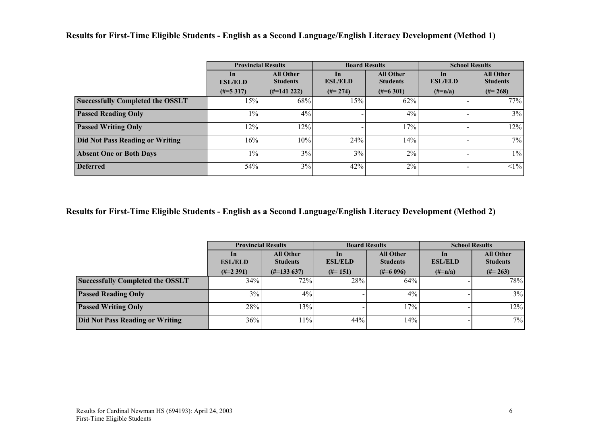Results for First-Time Eligible Students - English as a Second Language/English Literacy Development (Method 1)

|                                         | <b>Provincial Results</b> |                                     |                      | <b>Board Results</b>                | <b>School Results</b> |                                     |
|-----------------------------------------|---------------------------|-------------------------------------|----------------------|-------------------------------------|-----------------------|-------------------------------------|
|                                         | In<br><b>ESL/ELD</b>      | <b>All Other</b><br><b>Students</b> | In<br><b>ESL/ELD</b> | <b>All Other</b><br><b>Students</b> | In<br><b>ESL/ELD</b>  | <b>All Other</b><br><b>Students</b> |
|                                         | $(\#=5\;317)$             | $(\#=141\;222)$                     | $(\#=274)$           | $(\text{\#}=6\,301)$                | $(\#=n/a)$            | $(\#=268)$                          |
| <b>Successfully Completed the OSSLT</b> | 15%                       | 68%                                 | 15%                  | 62%                                 |                       | 77%                                 |
| <b>Passed Reading Only</b>              | $1\%$                     | 4%                                  |                      | 4%                                  |                       | 3%                                  |
| <b>Passed Writing Only</b>              | 12%                       | 12%                                 |                      | 17%                                 |                       | 12%                                 |
| <b>Did Not Pass Reading or Writing</b>  | 16%                       | 10%                                 | 24%                  | 14%                                 |                       | 7%                                  |
| <b>Absent One or Both Days</b>          | $1\%$                     | 3%                                  | 3%                   | 2%                                  |                       | $1\%$                               |
| <b>Deferred</b>                         | 54%                       | 3%                                  | 42%                  | 2%                                  |                       | $<1\%$                              |

Results for First-Time Eligible Students - English as a Second Language/English Literacy Development (Method 2)

|                                         |                      | <b>Provincial Results</b>           |                      | <b>Board Results</b>                | <b>School Results</b>           |                                     |  |
|-----------------------------------------|----------------------|-------------------------------------|----------------------|-------------------------------------|---------------------------------|-------------------------------------|--|
|                                         | In<br><b>ESL/ELD</b> | <b>All Other</b><br><b>Students</b> | In<br><b>ESL/ELD</b> | <b>All Other</b><br><b>Students</b> | $\mathbf{ln}$<br><b>ESL/ELD</b> | <b>All Other</b><br><b>Students</b> |  |
|                                         | $(\#=2\;391)$        | $(\text{\#} = 133\ 637)$            | $(\#=151)$           | $(\#=6096)$                         | $(\#=n/a)$                      | $(\#=263)$                          |  |
| <b>Successfully Completed the OSSLT</b> | 34%                  | 72%                                 | 28%                  | 64%                                 |                                 | 78%                                 |  |
| <b>Passed Reading Only</b>              | 3%                   | $4\%$                               |                      | $4\%$                               |                                 | 3%                                  |  |
| <b>Passed Writing Only</b>              | 28%                  | 13%                                 |                      | 17%                                 |                                 | 12%                                 |  |
| <b>Did Not Pass Reading or Writing</b>  | 36%                  | 11%                                 | 44%                  | 14%                                 |                                 | $7\%$                               |  |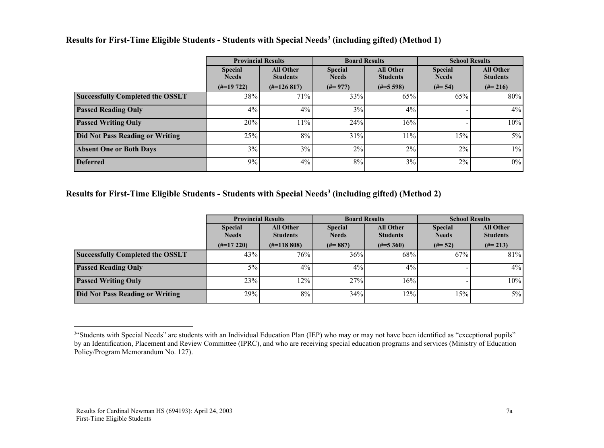|                                         | <b>Provincial Results</b>      |                                     |                                | <b>Board Results</b>                | <b>School Results</b>          |                                     |
|-----------------------------------------|--------------------------------|-------------------------------------|--------------------------------|-------------------------------------|--------------------------------|-------------------------------------|
|                                         | <b>Special</b><br><b>Needs</b> | <b>All Other</b><br><b>Students</b> | <b>Special</b><br><b>Needs</b> | <b>All Other</b><br><b>Students</b> | <b>Special</b><br><b>Needs</b> | <b>All Other</b><br><b>Students</b> |
|                                         | $(\#=19\;722)$                 | $(\text{\#} = 126817)$              | $(\#=977)$                     | $(\#=5\;598)$                       | $(\# = 54)$                    | $(\#=216)$                          |
| <b>Successfully Completed the OSSLT</b> | 38%                            | 71%                                 | 33%                            | 65%                                 | 65%                            | 80%                                 |
| <b>Passed Reading Only</b>              | 4%                             | 4%                                  | 3%                             | 4%                                  |                                | $4\%$                               |
| <b>Passed Writing Only</b>              | 20%                            | 11%                                 | 24%                            | 16%                                 |                                | 10%                                 |
| Did Not Pass Reading or Writing         | 25%                            | 8%                                  | 31%                            | 11%                                 | 15%                            | 5%                                  |
| <b>Absent One or Both Days</b>          | 3%                             | 3%                                  | 2%                             | 2%                                  | 2%                             | $1\%$                               |
| <b>Deferred</b>                         | 9%                             | 4%                                  | 8%                             | 3%                                  | 2%                             | 0%                                  |

### Results for First-Time Eligible Students - Students with Special Needs<sup>3</sup> (including gifted) (Method 1)

### Results for First-Time Eligible Students - Students with Special Needs<sup>3</sup> (including gifted) (Method 2)

|                                         | <b>Provincial Results</b>      |                                     | <b>Board Results</b>           |                                     | <b>School Results</b>          |                                     |
|-----------------------------------------|--------------------------------|-------------------------------------|--------------------------------|-------------------------------------|--------------------------------|-------------------------------------|
|                                         | <b>Special</b><br><b>Needs</b> | <b>All Other</b><br><b>Students</b> | <b>Special</b><br><b>Needs</b> | <b>All Other</b><br><b>Students</b> | <b>Special</b><br><b>Needs</b> | <b>All Other</b><br><b>Students</b> |
|                                         | $(\text{\#} = 17220)$          | $(\text{\#} = 118,808)$             | $(\#=887)$                     | $(\#=5\,360)$                       | $(\#=52)$                      | $(\#=213)$                          |
| <b>Successfully Completed the OSSLT</b> | 43%                            | 76%                                 | 36%                            | 68%                                 | 67%                            | 81%                                 |
| <b>Passed Reading Only</b>              | $5\%$                          | 4%                                  | 4%                             | 4%                                  |                                | $4\%$                               |
| <b>Passed Writing Only</b>              | 23%                            | 12%                                 | 27%                            | 16%                                 |                                | 10%                                 |
| <b>Did Not Pass Reading or Writing</b>  | 29%                            | 8%                                  | 34%                            | 12%                                 | 15%                            | $5\%$                               |

<sup>&</sup>lt;sup>3"</sup>Students with Special Needs" are students with an Individual Education Plan (IEP) who may or may not have been identified as "exceptional pupils" by an Identification, Placement and Review Committee (IPRC), and who are receiving special education programs and services (Ministry of Education Policy/Program Memorandum No. 127).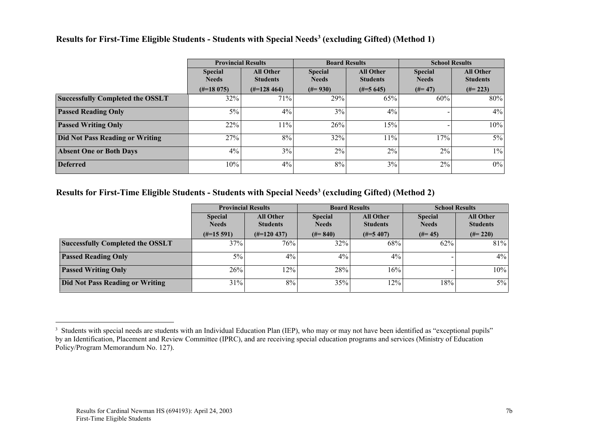#### Results for First-Time Eligible Students - Students with Special Needs<sup>3</sup> (excluding Gifted) (Method 1)

|                                         | <b>Provincial Results</b>      |                                     |                                | <b>Board Results</b>                | <b>School Results</b>          |                                     |
|-----------------------------------------|--------------------------------|-------------------------------------|--------------------------------|-------------------------------------|--------------------------------|-------------------------------------|
|                                         | <b>Special</b><br><b>Needs</b> | <b>All Other</b><br><b>Students</b> | <b>Special</b><br><b>Needs</b> | <b>All Other</b><br><b>Students</b> | <b>Special</b><br><b>Needs</b> | <b>All Other</b><br><b>Students</b> |
|                                         | $(\#=18075)$                   | $(\text{\#} = 128\,464)$            | $(\#=930)$                     | $(\#=5645)$                         | $(#=47)$                       | $(\#=223)$                          |
| <b>Successfully Completed the OSSLT</b> | 32%                            | 71%                                 | 29%                            | 65%                                 | 60%                            | 80%                                 |
| <b>Passed Reading Only</b>              | $5\%$                          | 4%                                  | 3%                             | 4%                                  |                                | 4%                                  |
| <b>Passed Writing Only</b>              | 22%                            | 11%                                 | 26%                            | 15%                                 |                                | 10%                                 |
| <b>Did Not Pass Reading or Writing</b>  | 27%                            | 8%                                  | 32%                            | 11%                                 | 17%                            | $5\%$                               |
| <b>Absent One or Both Days</b>          | $4\%$                          | 3%                                  | $2\%$                          | 2%                                  | $2\%$                          | $1\%$                               |
| <b>Deferred</b>                         | 10%                            | 4%                                  | 8%                             | 3%                                  | 2%                             | $0\%$                               |

### Results for First-Time Eligible Students - Students with Special Needs<sup>3</sup> (excluding Gifted) (Method 2)

|                                         | <b>Provincial Results</b>      |                                     | <b>Board Results</b>           |                                     | <b>School Results</b>          |                                     |
|-----------------------------------------|--------------------------------|-------------------------------------|--------------------------------|-------------------------------------|--------------------------------|-------------------------------------|
|                                         | <b>Special</b><br><b>Needs</b> | <b>All Other</b><br><b>Students</b> | <b>Special</b><br><b>Needs</b> | <b>All Other</b><br><b>Students</b> | <b>Special</b><br><b>Needs</b> | <b>All Other</b><br><b>Students</b> |
|                                         | $(\#=15\;591)$                 | $(\#=120\;437)$                     | $(\#=840)$                     | $(\#=5\,407)$                       | $(\#=45)$                      | $(\#=220)$                          |
| <b>Successfully Completed the OSSLT</b> | 37%                            | 76%                                 | 32%                            | 68%                                 | 62%                            | 81%                                 |
| <b>Passed Reading Only</b>              | $5\%$                          | 4%                                  | 4%                             | 4%                                  |                                | $4\%$                               |
| <b>Passed Writing Only</b>              | 26%                            | 12%                                 | 28%                            | 16%                                 |                                | 10%                                 |
| <b>Did Not Pass Reading or Writing</b>  | 31%                            | 8%                                  | 35%                            | 12%                                 | 18%                            | $5\%$                               |

<sup>&</sup>lt;sup>3</sup> Students with special needs are students with an Individual Education Plan (IEP), who may or may not have been identified as "exceptional pupils" by an Identification, Placement and Review Committee (IPRC), and are receiving special education programs and services (Ministry of Education Policy/Program Memorandum No. 127).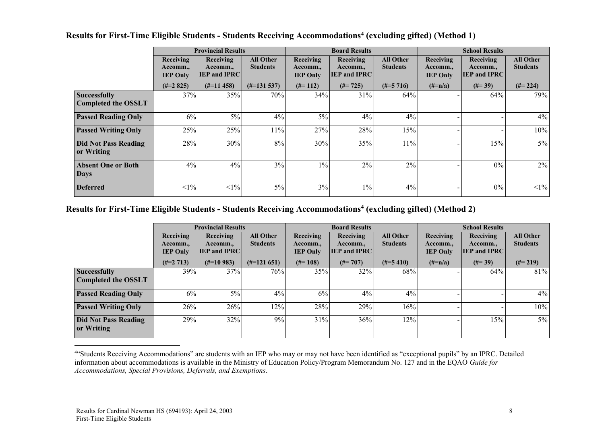|                             |                                          | <b>Provincial Results</b>                    |                                     |                                          | <b>Board Results</b>                         |                                     |                                          | <b>School Results</b>                        |                                     |
|-----------------------------|------------------------------------------|----------------------------------------------|-------------------------------------|------------------------------------------|----------------------------------------------|-------------------------------------|------------------------------------------|----------------------------------------------|-------------------------------------|
|                             | Receiving<br>Accomm.,<br><b>IEP Only</b> | Receiving<br>Accomm.,<br><b>IEP and IPRC</b> | <b>All Other</b><br><b>Students</b> | Receiving<br>Accomm.,<br><b>IEP Only</b> | Receiving<br>Accomm.,<br><b>IEP and IPRC</b> | <b>All Other</b><br><b>Students</b> | Receiving<br>Accomm.,<br><b>IEP Only</b> | Receiving<br>Accomm.,<br><b>IEP and IPRC</b> | <b>All Other</b><br><b>Students</b> |
|                             | $(\#=2\;825)$                            | $(\#=11\;458)$                               | $(\#=131537)$                       | $(\#=112)$                               | $(\# = 725)$                                 | $(\#=5\;716)$                       | $(\#=n/a)$                               | $(\#=39)$                                    | $(\#=224)$                          |
| <b>Successfully</b>         | 37%                                      | 35%                                          | 70%                                 | 34%                                      | 31%                                          | 64%                                 |                                          | 64%                                          | 79%                                 |
| <b>Completed the OSSLT</b>  |                                          |                                              |                                     |                                          |                                              |                                     |                                          |                                              |                                     |
| <b>Passed Reading Only</b>  | $6\%$                                    | 5%                                           | 4%                                  | 5%                                       | 4%                                           | 4%                                  |                                          |                                              | $4\%$                               |
| <b>Passed Writing Only</b>  | 25%                                      | 25%                                          | 11%                                 | 27%                                      | 28%                                          | 15%                                 |                                          |                                              | 10%                                 |
| <b>Did Not Pass Reading</b> | 28%                                      | 30%                                          | 8%                                  | 30%                                      | 35%                                          | 11%                                 |                                          | 15%                                          | $5\%$                               |
| or Writing                  |                                          |                                              |                                     |                                          |                                              |                                     |                                          |                                              |                                     |
| <b>Absent One or Both</b>   | 4%                                       | 4%                                           | 3%                                  | $1\%$                                    | 2%                                           | 2%                                  |                                          | $0\%$                                        | 2%                                  |
| <b>Days</b>                 |                                          |                                              |                                     |                                          |                                              |                                     |                                          |                                              |                                     |
| <b>Deferred</b>             | $<1\%$                                   | $<1\%$                                       | $5\%$                               | 3%                                       | $1\%$                                        | 4%                                  |                                          | $0\%$                                        | $\leq$ 1%                           |

#### Results for First-Time Eligible Students - Students Receiving Accommodations<sup>4</sup> (excluding gifted) (Method 1)

Results for First-Time Eligible Students - Students Receiving Accommodations<sup>4</sup> (excluding gifted) (Method 2)

|                                    | <b>Provincial Results</b>                |                                              |                                     |                                          | <b>Board Results</b>                         |                                     | <b>School Results</b>                    |                                              |                                     |
|------------------------------------|------------------------------------------|----------------------------------------------|-------------------------------------|------------------------------------------|----------------------------------------------|-------------------------------------|------------------------------------------|----------------------------------------------|-------------------------------------|
|                                    | Receiving<br>Accomm.,<br><b>IEP Only</b> | Receiving<br>Accomm.,<br><b>IEP and IPRC</b> | <b>All Other</b><br><b>Students</b> | Receiving<br>Accomm.,<br><b>IEP Only</b> | Receiving<br>Accomm.,<br><b>IEP and IPRC</b> | <b>All Other</b><br><b>Students</b> | Receiving<br>Accomm.,<br><b>IEP Only</b> | Receiving<br>Accomm.,<br><b>IEP and IPRC</b> | <b>All Other</b><br><b>Students</b> |
|                                    | $(\#=2\;713)$                            | $(\text{\#} = 10983)$                        | $(\#=121\,651)$                     | $(\#=108)$                               | $(\#=707)$                                   | $(\#=5\;410)$                       | $(\#=n/a)$                               | $(\#=39)$                                    | $(\#=219)$                          |
| Successfully                       | 39%                                      | 37%                                          | 76%                                 | 35%                                      | 32%                                          | 68%                                 |                                          | 64%                                          | 81%                                 |
| <b>Completed the OSSLT</b>         |                                          |                                              |                                     |                                          |                                              |                                     |                                          |                                              |                                     |
| <b>Passed Reading Only</b>         | 6%                                       | $5\%$                                        | 4%                                  | 6%                                       | $4\%$                                        | 4%                                  |                                          |                                              | 4%                                  |
| <b>Passed Writing Only</b>         | 26%                                      | 26%                                          | 12%                                 | 28%                                      | 29%                                          | 16%                                 |                                          |                                              | 10%                                 |
| Did Not Pass Reading<br>or Writing | 29%                                      | $32\%$                                       | 9%                                  | 31%                                      | 36%                                          | 12%                                 |                                          | 15%                                          | $5\%$                               |

<sup>4</sup> "Students Receiving Accommodations" are students with an IEP who may or may not have been identified as "exceptional pupils" by an IPRC. Detailed information about accommodations is available in the Ministry of Education Policy/Program Memorandum No. 127 and in the EQAO Guide for Accommodations, Special Provisions, Deferrals, and Exemptions.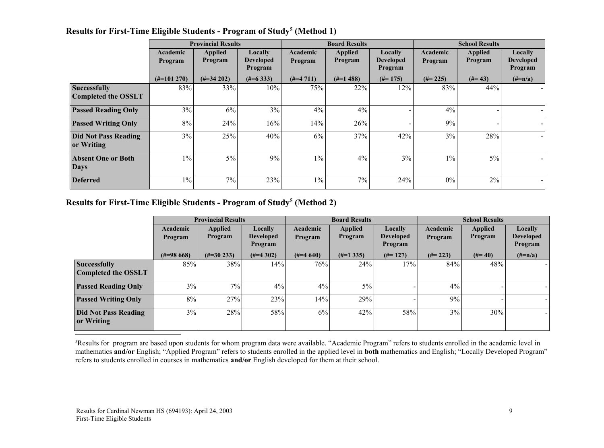|                                                   | <b>Provincial Results</b> |                                  |                                               |                     | <b>Board Results</b>      |                                               | <b>School Results</b> |                           |                                        |
|---------------------------------------------------|---------------------------|----------------------------------|-----------------------------------------------|---------------------|---------------------------|-----------------------------------------------|-----------------------|---------------------------|----------------------------------------|
|                                                   | Academic<br>Program       | <b>Applied</b><br><b>Program</b> | <b>Locally</b><br><b>Developed</b><br>Program | Academic<br>Program | <b>Applied</b><br>Program | <b>Locally</b><br><b>Developed</b><br>Program | Academic<br>Program   | <b>Applied</b><br>Program | Locally<br><b>Developed</b><br>Program |
|                                                   | $(\#=101\;270)$           | $(\text{\#}34 202)$              | $(\text{\#} = 6\,333)$                        | $(\#=4\;711)$       | $(\#=1\,488)$             | $(\#=175)$                                    | $(\#=225)$            | $(\#=43)$                 | $(\#=n/a)$                             |
| <b>Successfully</b><br><b>Completed the OSSLT</b> | 83%                       | 33%                              | 10%                                           | 75%                 | 22%                       | 12%                                           | 83%                   | 44%                       |                                        |
| <b>Passed Reading Only</b>                        | 3%                        | 6%                               | 3%                                            | 4%                  | 4%                        |                                               | $4\%$                 |                           |                                        |
| <b>Passed Writing Only</b>                        | $8\%$                     | 24%                              | 16%                                           | 14%                 | 26%                       |                                               | 9%                    |                           |                                        |
| <b>Did Not Pass Reading</b><br>or Writing         | 3%                        | 25%                              | 40%                                           | 6%                  | 37%                       | 42%                                           | 3%                    | 28%                       |                                        |
| <b>Absent One or Both</b><br><b>Days</b>          | $1\%$                     | $5\%$                            | 9%                                            | $1\%$               | $4\%$                     | 3%                                            | $1\%$                 | $5\%$                     |                                        |
| <b>Deferred</b>                                   | $1\%$                     | $7\%$                            | 23%                                           | $1\%$               | 7%                        | 24%                                           | $0\%$                 | 2%                        |                                        |

#### Results for First-Time Eligible Students - Program of Study<sup>5</sup> (Method 1)

Results for First-Time Eligible Students - Program of Study<sup>5</sup> (Method 2)

|                                                   | <b>Provincial Results</b> |                           |                                        |                     | <b>Board Results</b>      |                                        | <b>School Results</b> |                           |                                        |
|---------------------------------------------------|---------------------------|---------------------------|----------------------------------------|---------------------|---------------------------|----------------------------------------|-----------------------|---------------------------|----------------------------------------|
|                                                   | Academic<br>Program       | <b>Applied</b><br>Program | Locally<br><b>Developed</b><br>Program | Academic<br>Program | <b>Applied</b><br>Program | Locally<br><b>Developed</b><br>Program | Academic<br>Program   | <b>Applied</b><br>Program | Locally<br><b>Developed</b><br>Program |
|                                                   | $(\text{\#}=98\,668)$     | $(\text{\#}30\,233)$      | $(\#=4\;302)$                          | $(\#=4\ 640)$       | $(\#=1\,335)$             | $(\#=127)$                             | $(\#=223)$            | $(\#=40)$                 | $(\#=n/a)$                             |
| <b>Successfully</b><br><b>Completed the OSSLT</b> | 85%                       | 38%                       | 14%                                    | 76%                 | 24%                       | 17%                                    | 84%                   | 48%                       |                                        |
| <b>Passed Reading Only</b>                        | 3%                        | $7\%$                     | 4%                                     | 4%                  | $5\%$                     |                                        | 4%                    |                           |                                        |
| <b>Passed Writing Only</b>                        | 8%                        | 27%                       | 23%                                    | 14%                 | 29%                       |                                        | 9%                    |                           |                                        |
| <b>Did Not Pass Reading</b><br>or Writing         | 3%                        | 28%                       | 58%                                    | 6%                  | 42%                       | 58%                                    | 3%                    | 30%                       |                                        |

<sup>5</sup>Results for program are based upon students for whom program data were available. "Academic Program" refers to students enrolled in the academic level in mathematics and/or English; "Applied Program" refers to students enrolled in the applied level in both mathematics and English; "Locally Developed Program" refers to students enrolled in courses in mathematics and/or English developed for them at their school.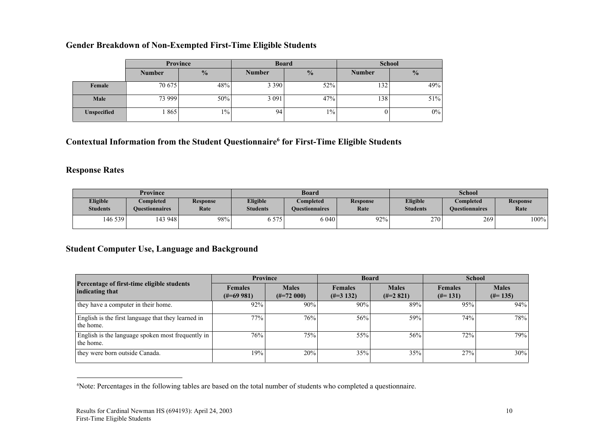### Gender Breakdown of Non-Exempted First-Time Eligible Students

|                    | Province      |               |               | <b>Board</b>  | <b>School</b> |               |  |
|--------------------|---------------|---------------|---------------|---------------|---------------|---------------|--|
|                    | <b>Number</b> | $\frac{0}{0}$ | <b>Number</b> | $\frac{0}{0}$ | <b>Number</b> | $\frac{0}{2}$ |  |
| Female             | 70 675        | 48%           | 3 3 9 0       | 52%           | 132           | 49%           |  |
| Male               | 73 999        | 50%           | 3 0 9 1       | 47%           | 138           | 51%           |  |
| <b>Unspecified</b> | 865           | $1\%$         | 94            | $1\%$         |               | $0\%$         |  |

Contextual Information from the Student Questionnaire<sup>6</sup> for First-Time Eligible Students

### Response Rates

| Province                    |                                    |                         |                                    | <b>Board</b>                              |                  | <b>School</b>               |                                    |                         |  |
|-----------------------------|------------------------------------|-------------------------|------------------------------------|-------------------------------------------|------------------|-----------------------------|------------------------------------|-------------------------|--|
| Eligible<br><b>Students</b> | Completed<br><b>Ouestionnaires</b> | <b>Response</b><br>Rate | <b>Eligible</b><br><b>Students</b> | <b>Completed</b><br><b>Ouestionnaires</b> | Response<br>Rate | Eligible<br><b>Students</b> | Completed<br><b>Ouestionnaires</b> | <b>Response</b><br>Rate |  |
| 146 539                     | 143 948                            | 98%                     | 6 5 7 5                            | 6 0 4 0                                   | 92%              | 270                         | 269                                | 100%                    |  |

### Student Computer Use, Language and Background

|                                                                 | <b>Province</b>                         |                              |                               | <b>Board</b>                | <b>School</b>                |                            |  |
|-----------------------------------------------------------------|-----------------------------------------|------------------------------|-------------------------------|-----------------------------|------------------------------|----------------------------|--|
| Percentage of first-time eligible students<br>indicating that   | <b>Females</b><br>$(\text{\#} = 69981)$ | <b>Males</b><br>$(\#=72000)$ | <b>Females</b><br>$(\#=3132)$ | <b>Males</b><br>$(\#=2821)$ | <b>Females</b><br>$(\#=131)$ | <b>Males</b><br>$(\#=135)$ |  |
| they have a computer in their home.                             | 92%                                     | 90%                          | 90%                           | 89%                         | 95%                          | 94%                        |  |
| English is the first language that they learned in<br>the home. | 77%                                     | 76%                          | 56%                           | 59%                         | 74%                          | 78%                        |  |
| English is the language spoken most frequently in<br>the home.  | 76%                                     | 75%                          | 55%                           | 56%                         | 72%                          | 79%                        |  |
| they were born outside Canada.                                  | 19%                                     | 20%                          | 35%                           | 35%                         | 27%                          | 30%                        |  |

<sup>6</sup>Note: Percentages in the following tables are based on the total number of students who completed a questionnaire.